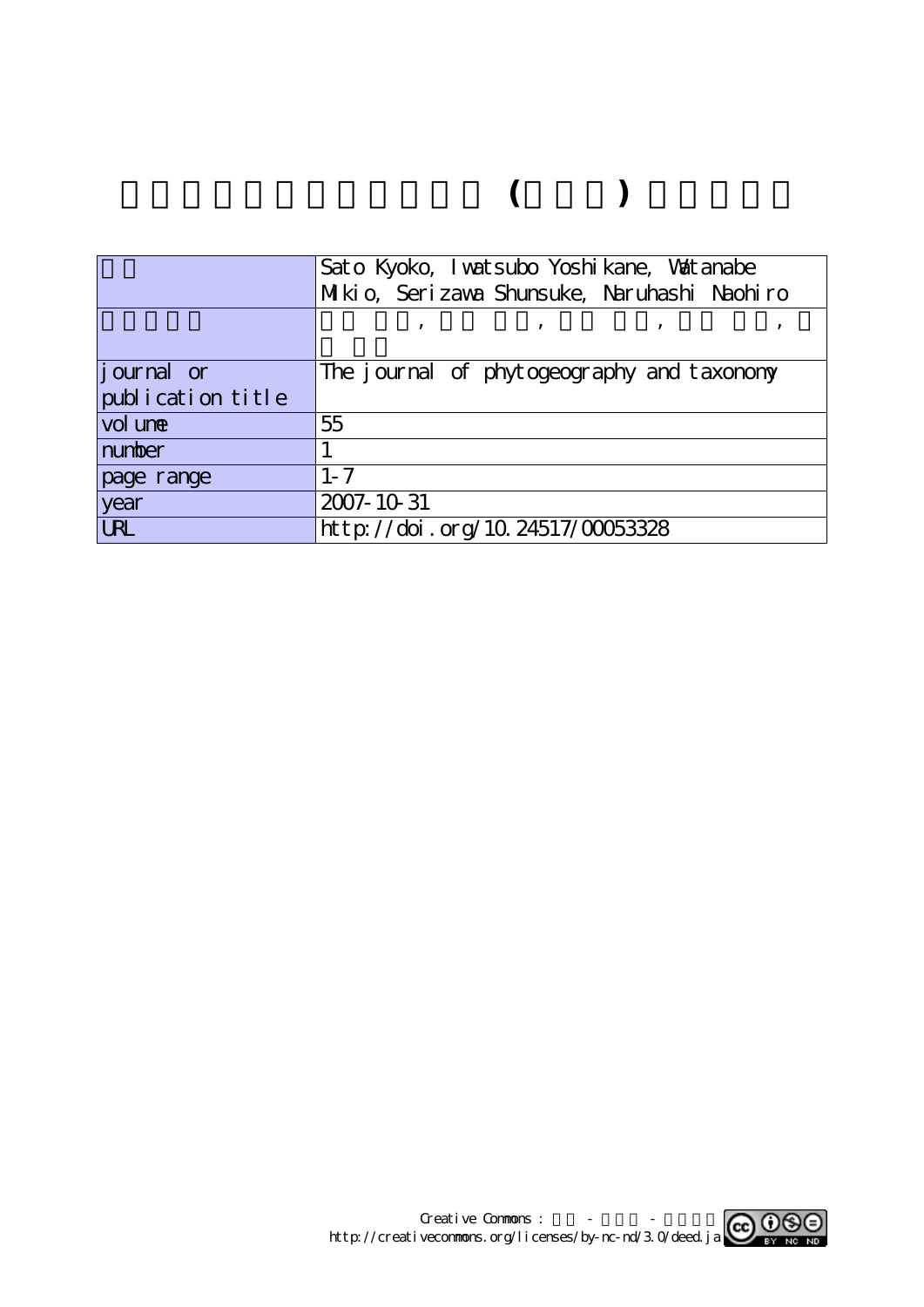# **富山県産セイヨウタンポポ (キク科) の染色体数**

|                   | Sato Kyoko, I watsubo Yoshi kane, Watanabe  |  |  |  |  |
|-------------------|---------------------------------------------|--|--|--|--|
|                   | Mikio, Serizawa Shunsuke, Naruhashi Naohiro |  |  |  |  |
|                   |                                             |  |  |  |  |
|                   |                                             |  |  |  |  |
| journal or        | The journal of phytogeography and taxonomy  |  |  |  |  |
| publication title |                                             |  |  |  |  |
| vol une           | 55                                          |  |  |  |  |
| number            |                                             |  |  |  |  |
| page range        | $1 - 7$                                     |  |  |  |  |
| year              | 2007-10-31                                  |  |  |  |  |
| <b>URL</b>        | http://doi.org/10.24517/00053328            |  |  |  |  |

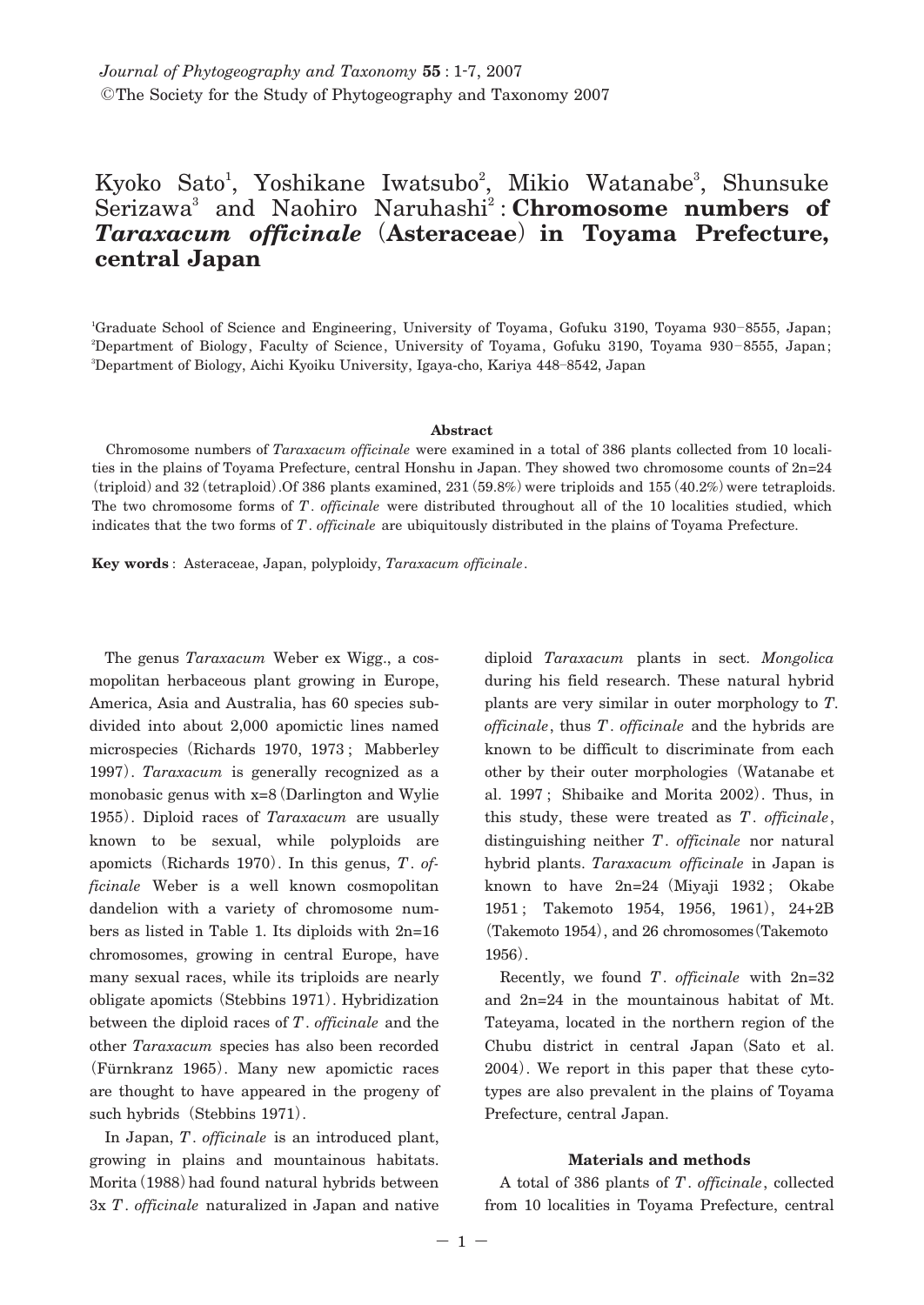## Kyoko Sato<sup>1</sup>, Yoshikane Iwatsubo<sup>2</sup>, Mikio Watanabe<sup>3</sup>, Shunsuke Serizawa<sup>3</sup> and Naohiro Naruhashi<sup>2</sup>: Chromosome numbers of *Taraxacum officinale***(Asteraceae)in Toyama Prefecture, central Japan**

1 Graduate School of Science and Engineering, University of Toyama, Gofuku 3190, Toyama 930**―**8555, Japan; 2 Department of Biology, Faculty of Science, University of Toyama, Gofuku 3190, Toyama 930**―** 8555, Japan; 3 Department of Biology, Aichi Kyoiku University, Igaya-cho, Kariya 448**―**8542, Japan

#### **Abstract**

Chromosome numbers of *Taraxacum officinale* were examined in a total of 386 plants collected from 10 localities in the plains of Toyama Prefecture, central Honshu in Japan. They showed two chromosome counts of 2n=24 **(**triploid**)**and 32**(**tetraploid**)**.Of 386 plants examined, 231**(**59.8%**)**were triploids and 155**(**40.2%**)**were tetraploids. The two chromosome forms of *T*. *officinale* were distributed throughout all of the 10 localities studied, which indicates that the two forms of *T*. *officinale* are ubiquitously distributed in the plains of Toyama Prefecture.

**Key words** : Asteraceae, Japan, polyploidy, *Taraxacum officinale*.

The genus *Taraxacum* Weber ex Wigg., a cosmopolitan herbaceous plant growing in Europe, America, Asia and Australia, has 60 species subdivided into about 2,000 apomictic lines named microspecies**(**Richards 1970, 1973 ; Mabberley 1997**)**. *Taraxacum* is generally recognized as a monobasic genus with x=8**(**Darlington and Wylie 1955**)**. Diploid races of *Taraxacum* are usually known to be sexual, while polyploids are apomicts**(**Richards 1970**)**. In this genus, *T*. *officinale* Weber is a well known cosmopolitan dandelion with a variety of chromosome numbers as listed in Table 1. Its diploids with 2n=16 chromosomes, growing in central Europe, have many sexual races, while its triploids are nearly obligate apomicts**(**Stebbins 1971**)**. Hybridization between the diploid races of *T*. *officinale* and the other *Taraxacum* species has also been recorded **(**Fürnkranz 1965**)**. Many new apomictic races are thought to have appeared in the progeny of such hybrids**(**Stebbins 1971**)**.

In Japan, *T*. *officinale* is an introduced plant, growing in plains and mountainous habitats. Morita**(**1988**)**had found natural hybrids between 3x *T*. *officinale* naturalized in Japan and native

diploid *Taraxacum* plants in sect. *Mongolica* during his field research. These natural hybrid plants are very similar in outer morphology to *T*. *officinale*, thus *T*. *officinale* and the hybrids are known to be difficult to discriminate from each other by their outer morphologies**(**Watanabe et al. 1997 ; Shibaike and Morita 2002**)**. Thus, in this study, these were treated as *T*. *officinale*, distinguishing neither *T*. *officinale* nor natural hybrid plants. *Taraxacum officinale* in Japan is known to have 2n=24**(**Miyaji 1932 ; Okabe 1951 ; Takemoto 1954, 1956, 1961**)**, 24+2B **(**Takemoto 1954**)**, and 26 chromosomes**(**Takemoto 1956**)**.

Recently, we found *T*. *officinale* with 2n=32 and 2n=24 in the mountainous habitat of Mt. Tateyama, located in the northern region of the Chubu district in central Japan**(**Sato et al. 2004**)**. We report in this paper that these cytotypes are also prevalent in the plains of Toyama Prefecture, central Japan.

#### **Materials and methods**

A total of 386 plants of *T*. *officinale*, collected from 10 localities in Toyama Prefecture, central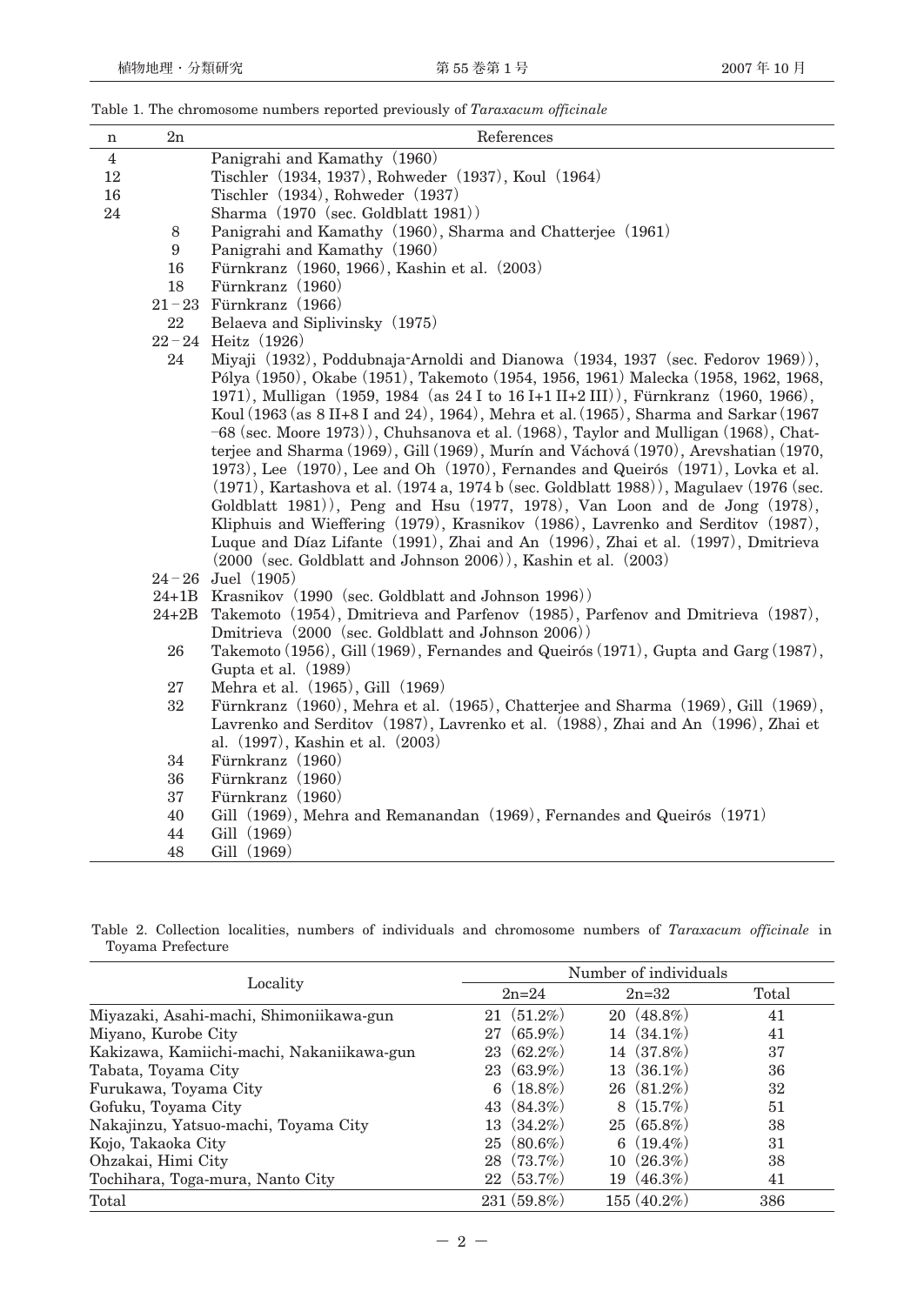| n                                                  | 2n                                                                                                                                                                         | References                                                                                    |  |  |  |
|----------------------------------------------------|----------------------------------------------------------------------------------------------------------------------------------------------------------------------------|-----------------------------------------------------------------------------------------------|--|--|--|
| $\overline{4}$                                     |                                                                                                                                                                            | Panigrahi and Kamathy (1960)                                                                  |  |  |  |
| 12                                                 |                                                                                                                                                                            | Tischler (1934, 1937), Rohweder (1937), Koul (1964)                                           |  |  |  |
| 16                                                 |                                                                                                                                                                            | Tischler (1934), Rohweder (1937)                                                              |  |  |  |
| 24                                                 |                                                                                                                                                                            | Sharma (1970 (sec. Goldblatt 1981))                                                           |  |  |  |
|                                                    | 8                                                                                                                                                                          | Panigrahi and Kamathy (1960), Sharma and Chatterjee (1961)                                    |  |  |  |
|                                                    | 9                                                                                                                                                                          | Panigrahi and Kamathy (1960)                                                                  |  |  |  |
|                                                    |                                                                                                                                                                            | Fürnkranz (1960, 1966), Kashin et al. (2003)<br>16                                            |  |  |  |
|                                                    |                                                                                                                                                                            | 18<br>Fürnkranz (1960)                                                                        |  |  |  |
|                                                    |                                                                                                                                                                            | $21-23$ Fürnkranz (1966)                                                                      |  |  |  |
|                                                    |                                                                                                                                                                            | 22<br>Belaeva and Siplivinsky (1975)                                                          |  |  |  |
|                                                    | $22 - 24$ Heitz (1926)                                                                                                                                                     |                                                                                               |  |  |  |
|                                                    |                                                                                                                                                                            | Miyaji (1932), Poddubnaja-Arnoldi and Dianowa (1934, 1937 (sec. Fedorov 1969)),<br>24         |  |  |  |
|                                                    |                                                                                                                                                                            | Pólya (1950), Okabe (1951), Takemoto (1954, 1956, 1961) Malecka (1958, 1962, 1968,            |  |  |  |
|                                                    | 1971), Mulligan (1959, 1984 (as 24 I to 16 I+1 II+2 III)), Fürnkranz (1960, 1966),<br>Koul (1963 (as 8 II+8 I and 24), 1964), Mehra et al. (1965), Sharma and Sarkar (1967 |                                                                                               |  |  |  |
|                                                    | -68 (sec. Moore 1973)), Chuhsanova et al. (1968), Taylor and Mulligan (1968), Chat-                                                                                        |                                                                                               |  |  |  |
|                                                    | terjee and Sharma (1969), Gill (1969), Murín and Váchová (1970), Arevshatian (1970,                                                                                        |                                                                                               |  |  |  |
|                                                    |                                                                                                                                                                            | 1973), Lee (1970), Lee and Oh (1970), Fernandes and Queirós (1971), Lovka et al.              |  |  |  |
|                                                    |                                                                                                                                                                            | $(1971)$ , Kartashova et al. $(1974 a, 1974 b$ (sec. Goldblatt 1988)), Magulaev $(1976$ (sec. |  |  |  |
|                                                    |                                                                                                                                                                            | Goldblatt 1981)), Peng and Hsu (1977, 1978), Van Loon and de Jong (1978),                     |  |  |  |
|                                                    |                                                                                                                                                                            | Kliphuis and Wieffering (1979), Krasnikov (1986), Lavrenko and Serditov (1987),               |  |  |  |
|                                                    |                                                                                                                                                                            | Luque and Díaz Lifante (1991), Zhai and An (1996), Zhai et al. (1997), Dmitrieva              |  |  |  |
|                                                    |                                                                                                                                                                            | (2000 (sec. Goldblatt and Johnson 2006)), Kashin et al. (2003)                                |  |  |  |
|                                                    |                                                                                                                                                                            | $24 - 26$ Juel (1905)                                                                         |  |  |  |
|                                                    | 24+1B Krasnikov (1990 (sec. Goldblatt and Johnson 1996))                                                                                                                   |                                                                                               |  |  |  |
| $24 + 2B$                                          |                                                                                                                                                                            | Takemoto (1954), Dmitrieva and Parfenov (1985), Parfenov and Dmitrieva (1987),                |  |  |  |
| Dmitrieva (2000 (sec. Goldblatt and Johnson 2006)) |                                                                                                                                                                            |                                                                                               |  |  |  |
| 26                                                 |                                                                                                                                                                            | Takemoto (1956), Gill (1969), Fernandes and Queirós (1971), Gupta and Garg (1987),            |  |  |  |
|                                                    |                                                                                                                                                                            | Gupta et al. (1989)                                                                           |  |  |  |
|                                                    | 27                                                                                                                                                                         | Mehra et al. (1965), Gill (1969)                                                              |  |  |  |
|                                                    | $32\,$<br>Fürnkranz (1960), Mehra et al. (1965), Chatterjee and Sharma (1969), Gill (1969),                                                                                |                                                                                               |  |  |  |
|                                                    |                                                                                                                                                                            | Lavrenko and Serditov (1987), Lavrenko et al. (1988), Zhai and An (1996), Zhai et             |  |  |  |
|                                                    | 34                                                                                                                                                                         | al. (1997), Kashin et al. (2003)                                                              |  |  |  |
|                                                    | Fürnkranz (1960)<br>Fürnkranz (1960)<br>36                                                                                                                                 |                                                                                               |  |  |  |
|                                                    | Fürnkranz (1960)<br>37                                                                                                                                                     |                                                                                               |  |  |  |
|                                                    | 40                                                                                                                                                                         | Gill (1969), Mehra and Remanandan (1969), Fernandes and Queirós (1971)                        |  |  |  |
|                                                    | 44                                                                                                                                                                         | Gill (1969)                                                                                   |  |  |  |
|                                                    | 48                                                                                                                                                                         | Gill (1969)                                                                                   |  |  |  |

Table 1. The chromosome numbers reported previously of *Taraxacum officinale*

Table 2. Collection localities, numbers of individuals and chromosome numbers of *Taraxacum officinale* in Toyama Prefecture

|                                           | Number of individuals |                  |       |  |
|-------------------------------------------|-----------------------|------------------|-------|--|
| Locality                                  | $2n = 24$             | $2n = 32$        | Total |  |
| Miyazaki, Asahi-machi, Shimoniikawa-gun   | $(51.2\%)$<br>21      | $20(48.8\%)$     | 41    |  |
| Miyano, Kurobe City                       | $(65.9\%)$<br>27      | 14 $(34.1\%)$    | 41    |  |
| Kakizawa, Kamiichi-machi, Nakaniikawa-gun | $(62.2\%)$<br>23      | $14(37.8\%)$     | 37    |  |
| Tabata, Toyama City                       | $23(63.9\%)$          | $13(36.1\%)$     | 36    |  |
| Furukawa, Toyama City                     | 6 $(18.8\%)$          | $26(81.2\%)$     | 32    |  |
| Gofuku, Toyama City                       | 43 $(84.3\%)$         | $(15.7\%)$<br>8  | 51    |  |
| Nakajinzu, Yatsuo-machi, Toyama City      | $(34.2\%)$<br>13      | $25(65.8\%)$     | 38    |  |
| Kojo, Takaoka City                        | $(80.6\%)$<br>25      | $(19.4\%)$<br>6  | 31    |  |
| Ohzakai, Himi City                        | $28(73.7\%)$          | $(26.3\%)$<br>10 | 38    |  |
| Tochihara, Toga-mura, Nanto City          | $22(53.7\%)$          | $19(46.3\%)$     | 41    |  |
| Total                                     | $231(59.8\%)$         | $155(40.2\%)$    | 386   |  |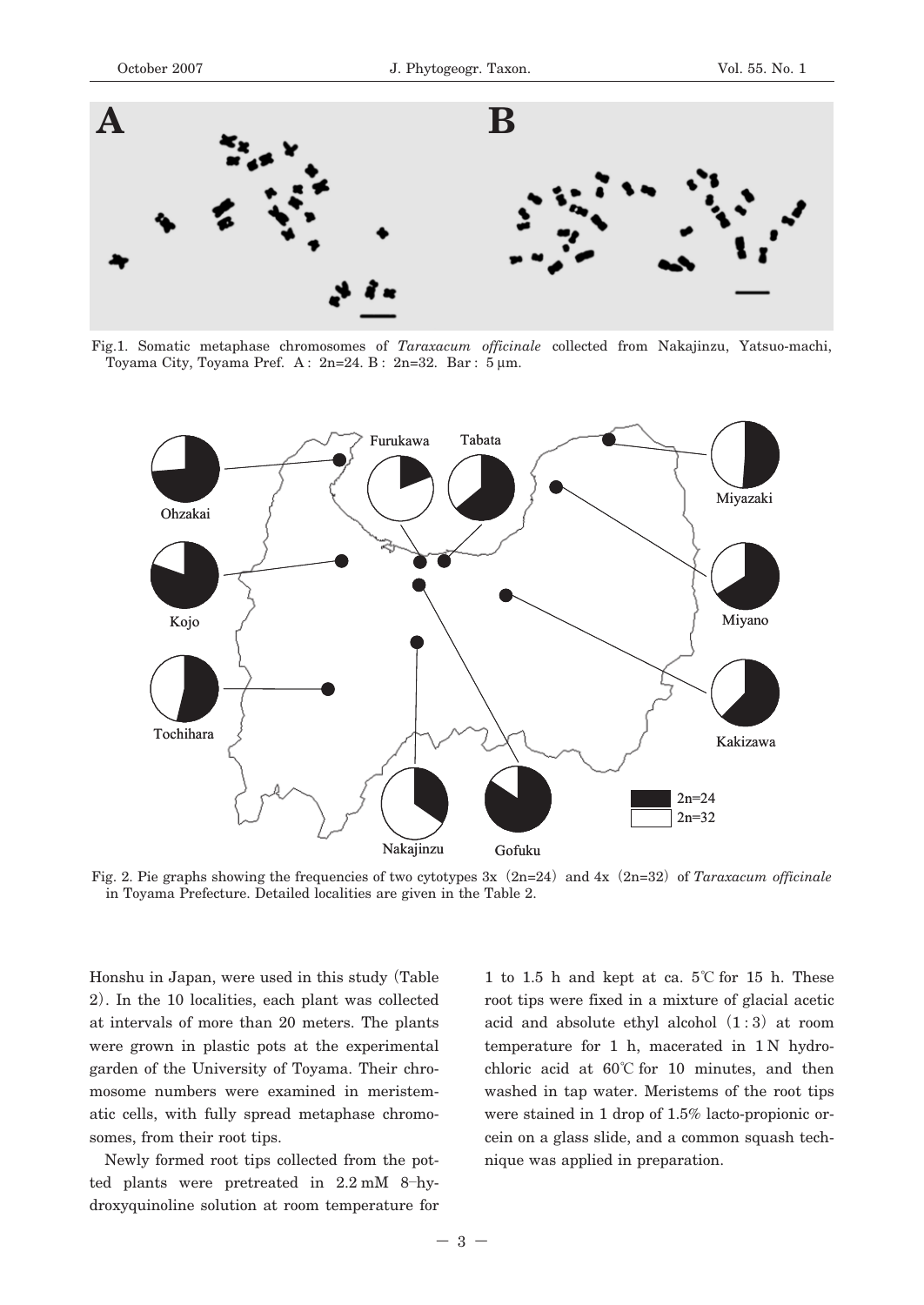

Fig.1. Somatic metaphase chromosomes of *Taraxacum officinale* collected from Nakajinzu, Yatsuo-machi, Toyama City, Toyama Pref. A : 2n=24. B : 2n=32. Bar : 5 μm.



Fig. 2. Pie graphs showing the frequencies of two cytotypes 3x**(**2n=24**)**and 4x**(**2n=32**)**of *Taraxacum officinale* in Toyama Prefecture. Detailed localities are given in the Table 2.

Honshu in Japan, were used in this study**(**Table 2**)**. In the 10 localities, each plant was collected at intervals of more than 20 meters. The plants were grown in plastic pots at the experimental garden of the University of Toyama. Their chromosome numbers were examined in meristematic cells, with fully spread metaphase chromosomes, from their root tips.

Newly formed root tips collected from the potted plants were pretreated in 2.2 mM 8**―**hydroxyquinoline solution at room temperature for

1 to 1.5 h and kept at ca. 5**℃** for 15 h. These root tips were fixed in a mixture of glacial acetic acid and absolute ethyl alcohol**(**1:3**)**at room temperature for 1 h, macerated in 1 N hydrochloric acid at 60**℃** for 10 minutes, and then washed in tap water. Meristems of the root tips were stained in 1 drop of 1.5% lacto-propionic orcein on a glass slide, and a common squash technique was applied in preparation.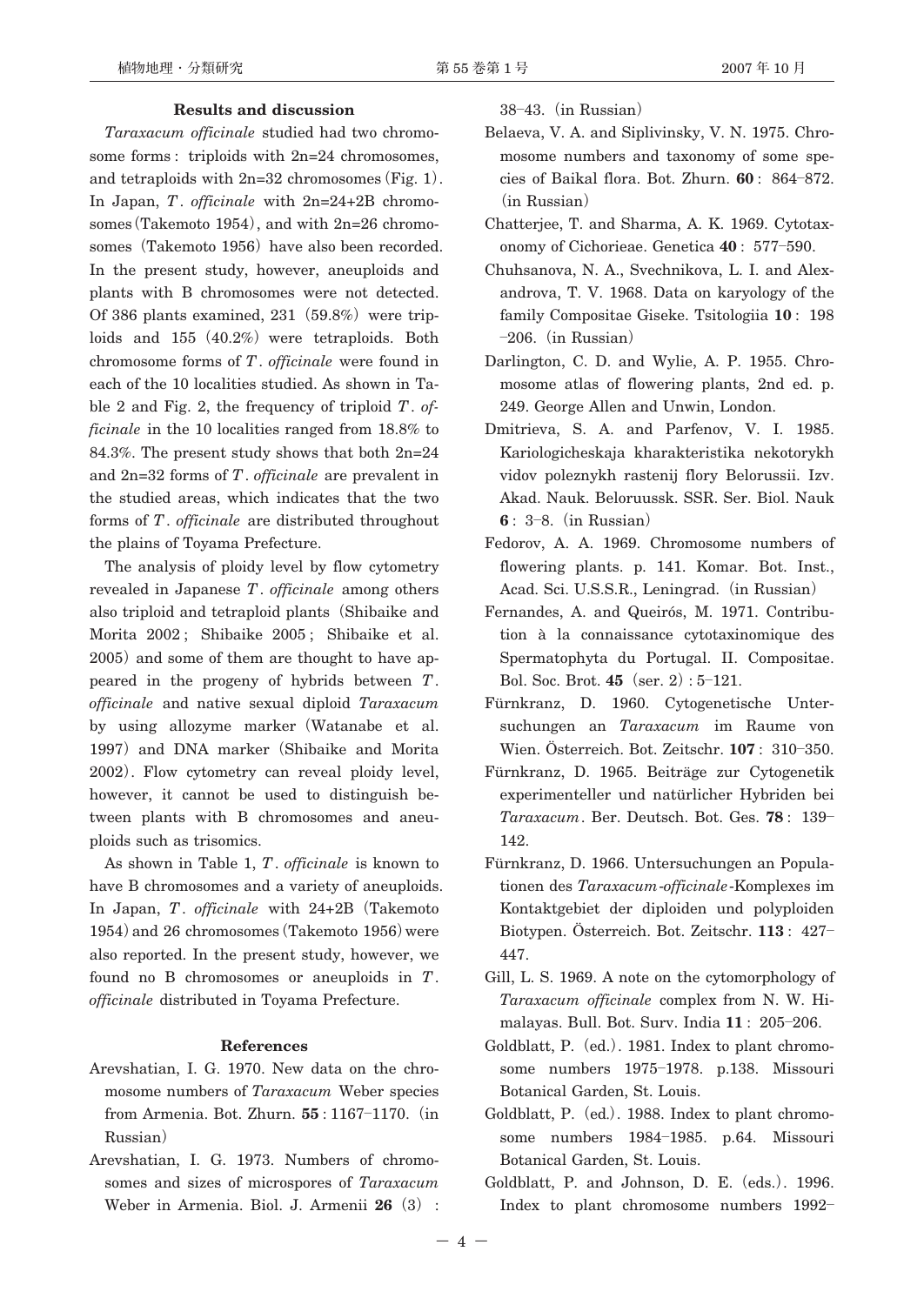### **Results and discussion**

*Taraxacum officinale* studied had two chromosome forms : triploids with 2n=24 chromosomes, and tetraploids with 2n=32 chromosomes**(**Fig. 1**)**. In Japan, *T*. *officinale* with 2n=24+2B chromosomes**(**Takemoto 1954**)**, and with 2n=26 chromosomes (Takemoto 1956) have also been recorded. In the present study, however, aneuploids and plants with B chromosomes were not detected. Of 386 plants examined,  $231$   $(59.8%)$  were triploids and 155 (40.2%) were tetraploids. Both chromosome forms of *T*. *officinale* were found in each of the 10 localities studied. As shown in Table 2 and Fig. 2, the frequency of triploid *T*. *officinale* in the 10 localities ranged from 18.8% to 84.3%. The present study shows that both 2n=24 and 2n=32 forms of *T*. *officinale* are prevalent in the studied areas, which indicates that the two forms of *T*. *officinale* are distributed throughout the plains of Toyama Prefecture.

The analysis of ploidy level by flow cytometry revealed in Japanese *T*. *officinale* among others also triploid and tetraploid plants**(**Shibaike and Morita 2002 ; Shibaike 2005 ; Shibaike et al. 2005**)**and some of them are thought to have appeared in the progeny of hybrids between *T*. *officinale* and native sexual diploid *Taraxacum* by using allozyme marker**(**Watanabe et al. 1997**)**and DNA marker**(**Shibaike and Morita 2002**)**. Flow cytometry can reveal ploidy level, however, it cannot be used to distinguish between plants with B chromosomes and aneuploids such as trisomics.

As shown in Table 1, *T*. *officinale* is known to have B chromosomes and a variety of aneuploids. In Japan, *T*. *officinale* with 24+2B**(**Takemoto 1954**)**and 26 chromosomes**(**Takemoto 1956**)**were also reported. In the present study, however, we found no B chromosomes or aneuploids in *T*. *officinale* distributed in Toyama Prefecture.

#### **References**

- Arevshatian, I. G. 1970. New data on the chromosome numbers of *Taraxacum* Weber species from Armenia. Bot. Zhurn. **55** : 1167**―**1170.**(**in Russian**)**
- Arevshatian, I. G. 1973. Numbers of chromosomes and sizes of microspores of *Taraxacum* Weber in Armenia. Biol. J. Armenii **26(**3**)** :

38**―**43.**(**in Russian**)**

- Belaeva, V. A. and Siplivinsky, V. N. 1975. Chromosome numbers and taxonomy of some species of Baikal flora. Bot. Zhurn. **60** : 864**―**872. **(**in Russian**)**
- Chatterjee, T. and Sharma, A. K. 1969. Cytotaxonomy of Cichorieae. Genetica **40** : 577**―**590.
- Chuhsanova, N. A., Svechnikova, L. I. and Alexandrova, T. V. 1968. Data on karyology of the family Compositae Giseke. Tsitologiia **10** : 198 **―**206.**(**in Russian**)**
- Darlington, C. D. and Wylie, A. P. 1955. Chromosome atlas of flowering plants, 2nd ed. p. 249. George Allen and Unwin, London.
- Dmitrieva, S. A. and Parfenov, V. I. 1985. Kariologicheskaja kharakteristika nekotorykh vidov poleznykh rastenij flory Belorussii. Izv. Akad. Nauk. Beloruussk. SSR. Ser. Biol. Nauk **6** : 3**―**8.**(**in Russian**)**
- Fedorov, A. A. 1969. Chromosome numbers of flowering plants. p. 141. Komar. Bot. Inst., Acad. Sci. U.S.S.R., Leningrad.**(**in Russian**)**
- Fernandes, A. and Queirós, M. 1971. Contribution à la connaissance cytotaxinomique des Spermatophyta du Portugal. II. Compositae. Bol. Soc. Brot. **45(**ser. 2**)**: 5**―**121.
- Fürnkranz, D. 1960. Cytogenetische Untersuchungen an *Taraxacum* im Raume von Wien. Österreich. Bot. Zeitschr. **107** : 310**―**350.
- Fürnkranz, D. 1965. Beiträge zur Cytogenetik experimenteller und natürlicher Hybriden bei *Taraxacum*. Ber. Deutsch. Bot. Ges. **78** : 139**―** 142.
- Fürnkranz, D. 1966. Untersuchungen an Populationen des *Taraxacum*-*officinale*-Komplexes im Kontaktgebiet der diploiden und polyploiden Biotypen. Österreich. Bot. Zeitschr. **113** : 427**―** 447.
- Gill, L. S. 1969. A note on the cytomorphology of *Taraxacum officinale* complex from N. W. Himalayas. Bull. Bot. Surv. India **11** : 205**―**206.
- Goldblatt, P.**(**ed.**)**. 1981. Index to plant chromosome numbers 1975**―**1978. p.138. Missouri Botanical Garden, St. Louis.
- Goldblatt, P.**(**ed.**)**. 1988. Index to plant chromosome numbers 1984**―**1985. p.64. Missouri Botanical Garden, St. Louis.
- Goldblatt, P. and Johnson, D. E.**(**eds.**)**. 1996. Index to plant chromosome numbers 1992**―**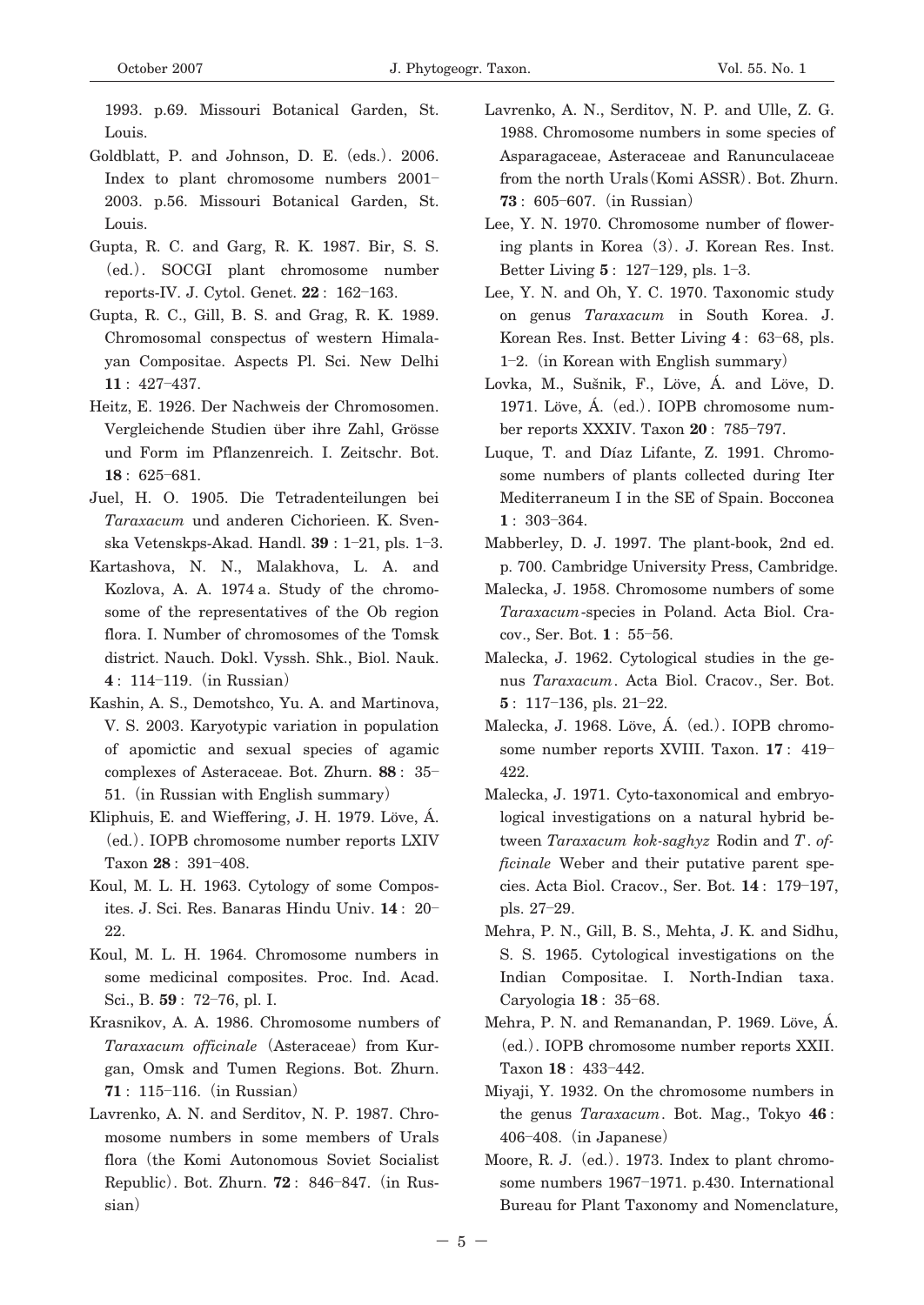1993. p.69. Missouri Botanical Garden, St. Louis.

- Goldblatt, P. and Johnson, D. E.**(**eds.**)**. 2006. Index to plant chromosome numbers 2001**―** 2003. p.56. Missouri Botanical Garden, St. Louis.
- Gupta, R. C. and Garg, R. K. 1987. Bir, S. S. **(**ed.**)**. SOCGI plant chromosome number reports-IV. J. Cytol. Genet. **22** : 162**―**163.
- Gupta, R. C., Gill, B. S. and Grag, R. K. 1989. Chromosomal conspectus of western Himalayan Compositae. Aspects Pl. Sci. New Delhi **11** : 427**―**437.
- Heitz, E. 1926. Der Nachweis der Chromosomen. Vergleichende Studien über ihre Zahl, Grösse und Form im Pflanzenreich. I. Zeitschr. Bot. **18** : 625**―**681.
- Juel, H. O. 1905. Die Tetradenteilungen bei *Taraxacum* und anderen Cichorieen. K. Svenska Vetenskps-Akad. Handl. **39** : 1**―**21, pls. 1**―**3.
- Kartashova, N. N., Malakhova, L. A. and Kozlova, A. A. 1974 a. Study of the chromosome of the representatives of the Ob region flora. I. Number of chromosomes of the Tomsk district. Nauch. Dokl. Vyssh. Shk., Biol. Nauk. **4** : 114**―**119.**(**in Russian**)**
- Kashin, A. S., Demotshco, Yu. A. and Martinova, V. S. 2003. Karyotypic variation in population of apomictic and sexual species of agamic complexes of Asteraceae. Bot. Zhurn. **88** : 35**―** 51.**(**in Russian with English summary**)**
- Kliphuis, E. and Wieffering, J. H. 1979. Löve, Á. **(**ed.**)**. IOPB chromosome number reports LXIV Taxon **28** : 391**―**408.
- Koul, M. L. H. 1963. Cytology of some Composites. J. Sci. Res. Banaras Hindu Univ. **14** : 20**―** 22.
- Koul, M. L. H. 1964. Chromosome numbers in some medicinal composites. Proc. Ind. Acad. Sci., B. **59** : 72**―**76, pl. I.
- Krasnikov, A. A. 1986. Chromosome numbers of *Taraxacum officinale***(**Asteraceae**)**from Kurgan, Omsk and Tumen Regions. Bot. Zhurn. **71** : 115**―**116.**(**in Russian**)**
- Lavrenko, A. N. and Serditov, N. P. 1987. Chromosome numbers in some members of Urals flora**(**the Komi Autonomous Soviet Socialist Republic**)**. Bot. Zhurn. **72** : 846**―**847.**(**in Russian**)**
- Lavrenko, A. N., Serditov, N. P. and Ulle, Z. G. 1988. Chromosome numbers in some species of Asparagaceae, Asteraceae and Ranunculaceae from the north Urals**(**Komi ASSR**)**. Bot. Zhurn. **73** : 605**―**607.**(**in Russian**)**
- Lee, Y. N. 1970. Chromosome number of flowering plants in Korea**(**3**)**. J. Korean Res. Inst. Better Living **5** : 127**―**129, pls. 1**―**3.
- Lee, Y. N. and Oh, Y. C. 1970. Taxonomic study on genus *Taraxacum* in South Korea. J. Korean Res. Inst. Better Living **4** : 63**―**68, pls. 1**―**2.**(**in Korean with English summary**)**
- Lovka, M., Sušnik, F., Löve, Á. and Löve, D. 1971. Löve, Á.**(**ed.**)**. IOPB chromosome number reports XXXIV. Taxon **20** : 785**―**797.
- Luque, T. and Díaz Lifante, Z. 1991. Chromosome numbers of plants collected during Iter Mediterraneum I in the SE of Spain. Bocconea **1** : 303**―**364.
- Mabberley, D. J. 1997. The plant-book, 2nd ed. p. 700. Cambridge University Press, Cambridge.
- Malecka, J. 1958. Chromosome numbers of some *Taraxacum*-species in Poland. Acta Biol. Cracov., Ser. Bot. **1** : 55**―**56.
- Malecka, J. 1962. Cytological studies in the genus *Taraxacum*. Acta Biol. Cracov., Ser. Bot. **5** : 117**―**136, pls. 21**―**22.
- Malecka, J. 1968. Löve, Á.**(**ed.**)**. IOPB chromosome number reports XVIII. Taxon. **17** : 419**―** 422.
- Malecka, J. 1971. Cyto-taxonomical and embryological investigations on a natural hybrid between *Taraxacum kok-saghyz* Rodin and *T*. *officinale* Weber and their putative parent species. Acta Biol. Cracov., Ser. Bot. **14** : 179**―**197, pls. 27**―**29.
- Mehra, P. N., Gill, B. S., Mehta, J. K. and Sidhu, S. S. 1965. Cytological investigations on the Indian Compositae. I. North-Indian taxa. Caryologia **18** : 35**―**68.
- Mehra, P. N. and Remanandan, P. 1969. Löve, Á. **(**ed.**)**. IOPB chromosome number reports XXII. Taxon **18** : 433**―**442.
- Miyaji, Y. 1932. On the chromosome numbers in the genus *Taraxacum*. Bot. Mag., Tokyo **46** : 406**―**408.**(**in Japanese**)**
- Moore, R. J.**(**ed.**)**. 1973. Index to plant chromosome numbers 1967**―**1971. p.430. International Bureau for Plant Taxonomy and Nomenclature,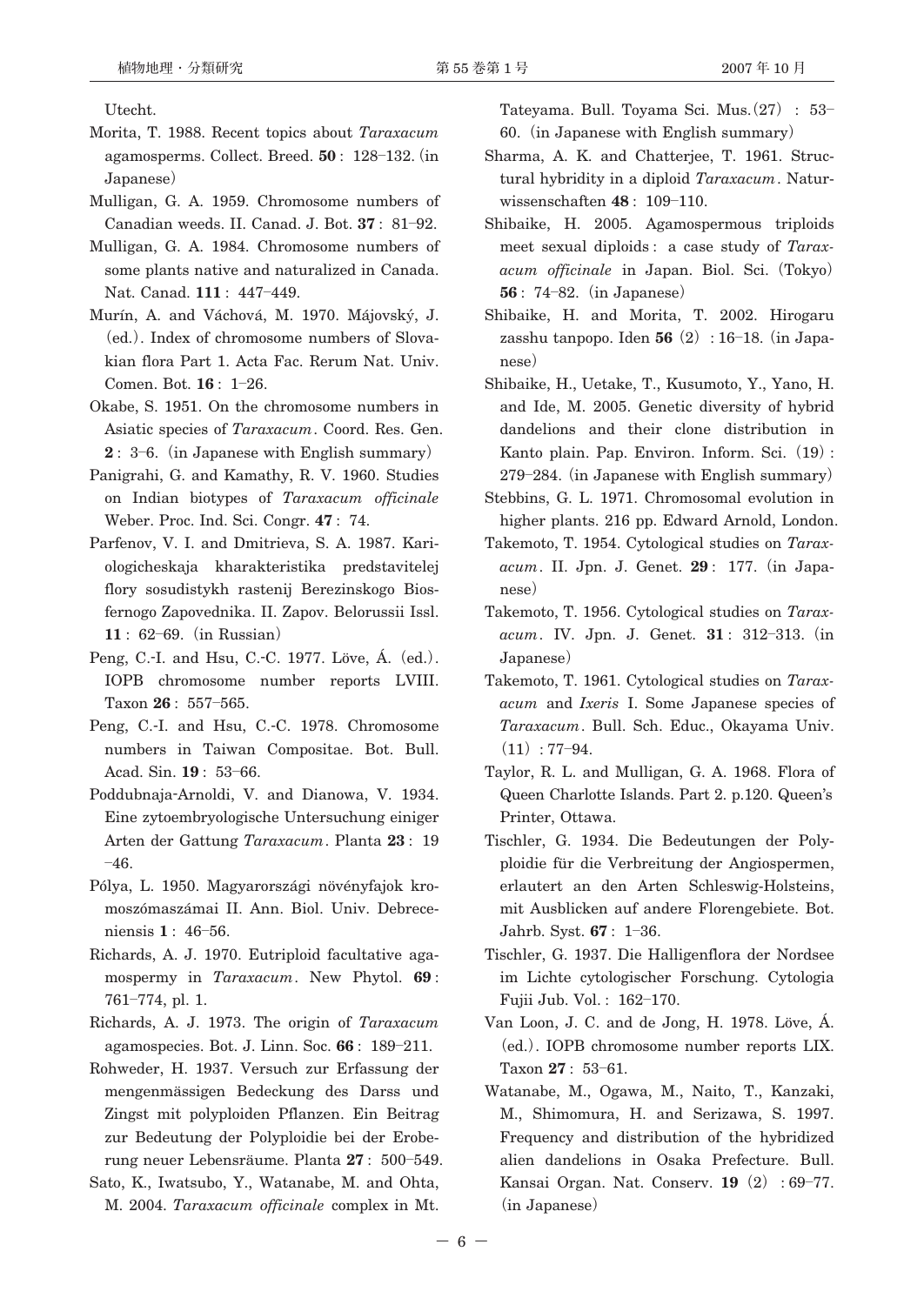Utecht.

- Morita, T. 1988. Recent topics about *Taraxacum* agamosperms. Collect. Breed. **50** : 128**―**132.**(**in Japanese**)**
- Mulligan, G. A. 1959. Chromosome numbers of Canadian weeds. II. Canad. J. Bot. **37** : 81**―**92.
- Mulligan, G. A. 1984. Chromosome numbers of some plants native and naturalized in Canada. Nat. Canad. **111** : 447**―**449.
- Murín, A. and Váchová, M. 1970. Májovský, J. **(**ed.**)**. Index of chromosome numbers of Slovakian flora Part 1. Acta Fac. Rerum Nat. Univ. Comen. Bot. **16** : 1**―**26.
- Okabe, S. 1951. On the chromosome numbers in Asiatic species of *Taraxacum*. Coord. Res. Gen. **2** : 3**―**6.**(**in Japanese with English summary**)**
- Panigrahi, G. and Kamathy, R. V. 1960. Studies on Indian biotypes of *Taraxacum officinale* Weber. Proc. Ind. Sci. Congr. **47** : 74.
- Parfenov, V. I. and Dmitrieva, S. A. 1987. Kariologicheskaja kharakteristika predstavitelej flory sosudistykh rastenij Berezinskogo Biosfernogo Zapovednika. II. Zapov. Belorussii Issl. **11** : 62**―**69.**(**in Russian**)**
- Peng, C.-I. and Hsu, C.-C. 1977. Löve, Á.**(**ed.**)**. IOPB chromosome number reports LVIII. Taxon **26** : 557**―**565.
- Peng, C.-I. and Hsu, C.-C. 1978. Chromosome numbers in Taiwan Compositae. Bot. Bull. Acad. Sin. **19** : 53**―**66.
- Poddubnaja-Arnoldi, V. and Dianowa, V. 1934. Eine zytoembryologische Untersuchung einiger Arten der Gattung *Taraxacum*. Planta **23** : 19 **―**46.
- Pólya, L. 1950. Magyarországi növényfajok kromoszómaszámai II. Ann. Biol. Univ. Debreceniensis **1** : 46**―**56.
- Richards, A. J. 1970. Eutriploid facultative agamospermy in *Taraxacum*. New Phytol. **69** : 761**―**774, pl. 1.
- Richards, A. J. 1973. The origin of *Taraxacum* agamospecies. Bot. J. Linn. Soc. **66** : 189**―**211.
- Rohweder, H. 1937. Versuch zur Erfassung der mengenmässigen Bedeckung des Darss und Zingst mit polyploiden Pflanzen. Ein Beitrag zur Bedeutung der Polyploidie bei der Eroberung neuer Lebensräume. Planta **27** : 500**―**549.
- Sato, K., Iwatsubo, Y., Watanabe, M. and Ohta, M. 2004. *Taraxacum officinale* complex in Mt.

Tateyama. Bull. Toyama Sci. Mus.**(**27**)** : 53**―** 60.**(**in Japanese with English summary**)**

- Sharma, A. K. and Chatterjee, T. 1961. Structural hybridity in a diploid *Taraxacum*. Naturwissenschaften **48** : 109**―**110.
- Shibaike, H. 2005. Agamospermous triploids meet sexual diploids : a case study of *Taraxacum officinale* in Japan. Biol. Sci.**(**Tokyo**) 56** : 74**―**82.**(**in Japanese**)**
- Shibaike, H. and Morita, T. 2002. Hirogaru zasshu tanpopo. Iden **56(**2**)**: 16**―**18.**(**in Japanese**)**
- Shibaike, H., Uetake, T., Kusumoto, Y., Yano, H. and Ide, M. 2005. Genetic diversity of hybrid dandelions and their clone distribution in Kanto plain. Pap. Environ. Inform. Sci.**(**19**)**: 279**―**284.**(**in Japanese with English summary**)**
- Stebbins, G. L. 1971. Chromosomal evolution in higher plants. 216 pp. Edward Arnold, London.
- Takemoto, T. 1954. Cytological studies on *Taraxacum*. II. Jpn. J. Genet. **29** : 177.**(**in Japanese**)**
- Takemoto, T. 1956. Cytological studies on *Taraxacum*. IV. Jpn. J. Genet. **31** : 312**―**313.**(**in Japanese**)**
- Takemoto, T. 1961. Cytological studies on *Taraxacum* and *Ixeris* I. Some Japanese species of *Taraxacum*. Bull. Sch. Educ., Okayama Univ.  $(11): 77 - 94.$
- Taylor, R. L. and Mulligan, G. A. 1968. Flora of Queen Charlotte Islands. Part 2. p.120. Queen's Printer, Ottawa.
- Tischler, G. 1934. Die Bedeutungen der Polyploidie für die Verbreitung der Angiospermen, erlautert an den Arten Schleswig-Holsteins, mit Ausblicken auf andere Florengebiete. Bot. Jahrb. Syst. **67** : 1**―**36.
- Tischler, G. 1937. Die Halligenflora der Nordsee im Lichte cytologischer Forschung. Cytologia Fujii Jub. Vol. : 162**―**170.
- Van Loon, J. C. and de Jong, H. 1978. Löve, Á. **(**ed.**)**. IOPB chromosome number reports LIX. Taxon **27** : 53**―**61.
- Watanabe, M., Ogawa, M., Naito, T., Kanzaki, M., Shimomura, H. and Serizawa, S. 1997. Frequency and distribution of the hybridized alien dandelions in Osaka Prefecture. Bull. Kansai Organ. Nat. Conserv. **19(**2**)** : 69**―**77. **(**in Japanese**)**